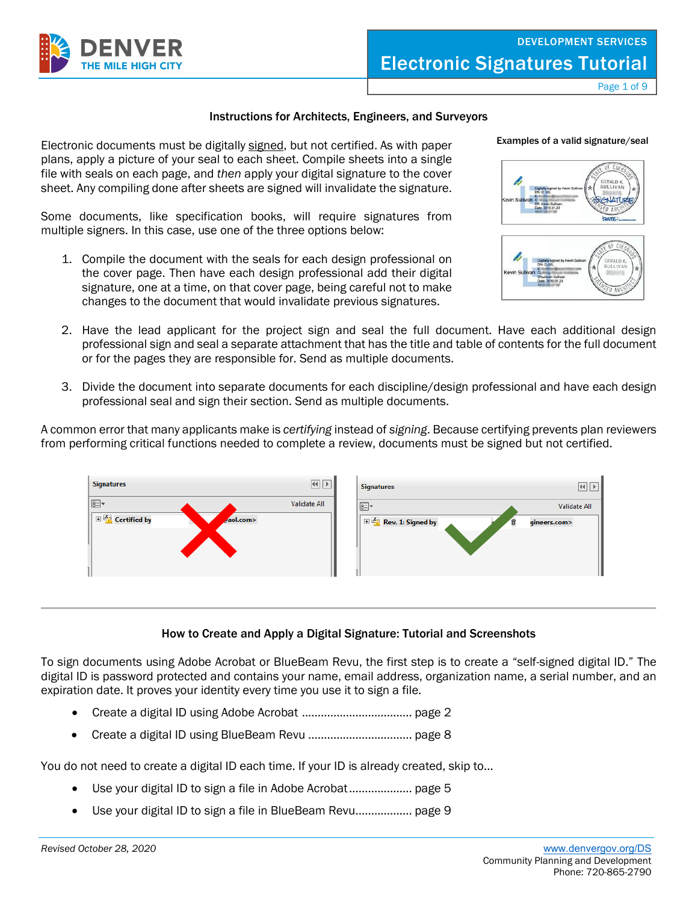

Page 1 of 9

#### Instructions for Architects, Engineers, and Surveyors

Electronic documents must be digitally signed, but not certified. As with paper plans, apply a picture of your seal to each sheet. Compile sheets into a single file with seals on each page, and *then* apply your digital signature to the cover sheet. Any compiling done after sheets are signed will invalidate the signature.

Some documents, like specification books, will require signatures from multiple signers. In this case, use one of the three options below:

1. Compile the document with the seals for each design professional on the cover page. Then have each design professional add their digital signature, one at a time, on that cover page, being careful not to make changes to the document that would invalidate previous signatures.



**batts** 

Examples of a valid signature/seal



- 2. Have the lead applicant for the project sign and seal the full document. Have each additional design professional sign and seal a separate attachment that has the title and table of contents for the full document or for the pages they are responsible for. Send as multiple documents.
- 3. Divide the document into separate documents for each discipline/design professional and have each design professional seal and sign their section. Send as multiple documents.

A common error that many applicants make is *certifying* instead of *signing*. Because certifying prevents plan reviewers from performing critical functions needed to complete a review, documents must be signed but not certified.



## How to Create and Apply a Digital Signature: Tutorial and Screenshots

To sign documents using Adobe Acrobat or BlueBeam Revu, the first step is to create a "self-signed digital ID." The digital ID is password protected and contains your name, email address, organization name, a serial number, and an expiration date. It proves your identity every time you use it to sign a file.

- Create a digital ID using Adobe Acrobat ................................... page 2
- Create a digital ID using BlueBeam Revu ................................. page 8

You do not need to create a digital ID each time. If your ID is already created, skip to...

- Use your digital ID to sign a file in Adobe Acrobat........................ page 5
- Use your digital ID to sign a file in BlueBeam Revu.................. page 9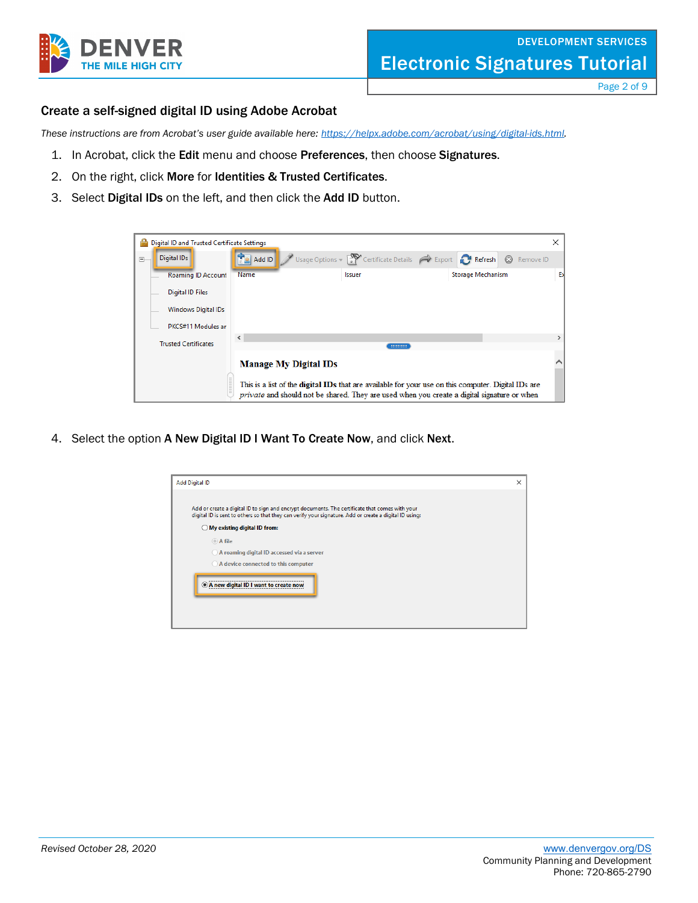

Page 2 of 9

## Create a self-signed digital ID using Adobe Acrobat

*These instructions are from Acrobat's user guide available here: [https://helpx.adobe.com/acrobat/using/digital-ids.html.](https://helpx.adobe.com/acrobat/using/digital-ids.html)*

- 1. In Acrobat, click the Edit menu and choose Preferences, then choose Signatures.
- 2. On the right, click More for Identities & Trusted Certificates.
- 3. Select Digital IDs on the left, and then click the Add ID button.

| ÷      | Digital ID and Trusted Certificate Settings |                              |                                                                                                                                                                                                                  |                             | $\times$ |
|--------|---------------------------------------------|------------------------------|------------------------------------------------------------------------------------------------------------------------------------------------------------------------------------------------------------------|-----------------------------|----------|
| $\Box$ | <b>Digital IDs</b>                          | $\frac{1}{2}$ Add ID         | Usage Options $\sqrt{2}$ Certificate Details $\curvearrowright$ Export <b>P</b> Refresh                                                                                                                          | $\circledcirc$<br>Remove ID |          |
|        | <b>Roaming ID Account</b>                   | Name                         | Issuer                                                                                                                                                                                                           | <b>Storage Mechanism</b>    | Б        |
|        | Digital ID Files                            |                              |                                                                                                                                                                                                                  |                             |          |
|        | Windows Digital IDs                         |                              |                                                                                                                                                                                                                  |                             |          |
|        | PKCS#11 Modules an                          |                              |                                                                                                                                                                                                                  |                             |          |
|        | <b>Trusted Certificates</b>                 | $\,$ $\,$                    | ===========                                                                                                                                                                                                      |                             |          |
|        |                                             | <b>Manage My Digital IDs</b> |                                                                                                                                                                                                                  |                             |          |
|        |                                             |                              | This is a list of the <b>digital IDs</b> that are available for your use on this computer. Digital IDs are<br><i>private</i> and should not be shared. They are used when you create a digital signature or when |                             |          |

4. Select the option A New Digital ID I Want To Create Now, and click Next.

| Add or create a digital ID to sign and encrypt documents. The certificate that comes with your<br>digital ID is sent to others so that they can verify your signature. Add or create a digital ID using: |  |
|----------------------------------------------------------------------------------------------------------------------------------------------------------------------------------------------------------|--|
| $\bigcirc$ My existing digital ID from:                                                                                                                                                                  |  |
| A file                                                                                                                                                                                                   |  |
| A roaming digital ID accessed via a server                                                                                                                                                               |  |
| A device connected to this computer                                                                                                                                                                      |  |
| A new digital ID I want to create now                                                                                                                                                                    |  |
|                                                                                                                                                                                                          |  |
|                                                                                                                                                                                                          |  |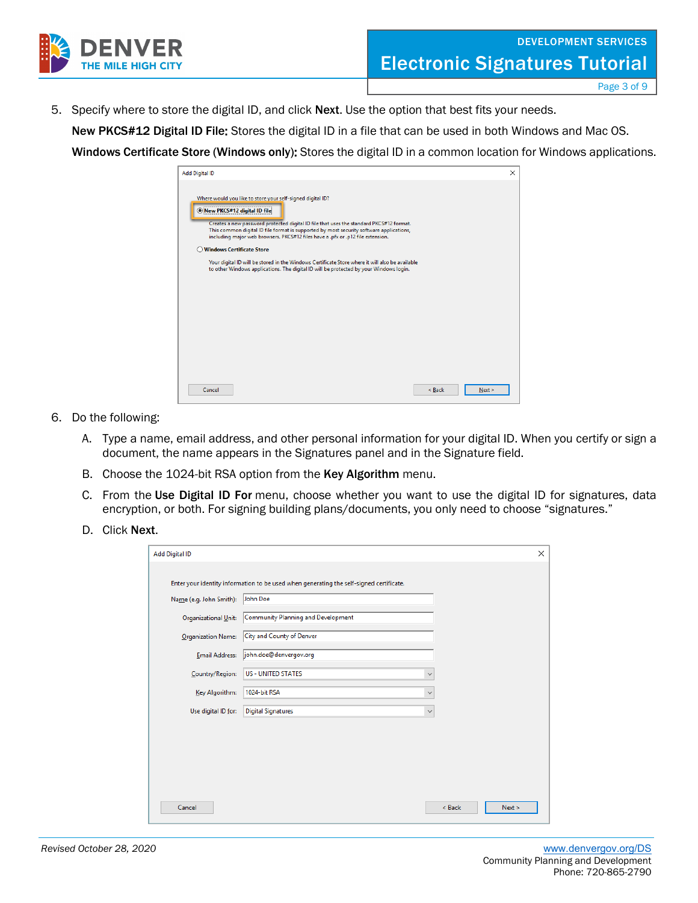

Page 3 of 9

5. Specify where to store the digital ID, and click Next. Use the option that best fits your needs.

New PKCS#12 Digital ID File: Stores the digital ID in a file that can be used in both Windows and Mac OS.

Windows Certificate Store (Windows only): Stores the digital ID in a common location for Windows applications.

| <b>Add Digital ID</b>                                                                                                                                                                                                                                                                                                                                              |        | $\times$ |
|--------------------------------------------------------------------------------------------------------------------------------------------------------------------------------------------------------------------------------------------------------------------------------------------------------------------------------------------------------------------|--------|----------|
| Where would you like to store your self-signed digital ID?<br>New PKCS#12 digital ID file<br>Creates a new password protected digital ID file that uses the standard PKCS#12 format.<br>This common digital ID file format is supported by most security software applications,<br>including major web browsers. PKCS#12 files have a .pfx or .p12 file extension. |        |          |
| <b>Windows Certificate Store</b>                                                                                                                                                                                                                                                                                                                                   |        |          |
| Your digital ID will be stored in the Windows Certificate Store where it will also be available<br>to other Windows applications. The digital ID will be protected by your Windows login.                                                                                                                                                                          |        |          |
|                                                                                                                                                                                                                                                                                                                                                                    |        |          |
|                                                                                                                                                                                                                                                                                                                                                                    |        |          |
| Cancel                                                                                                                                                                                                                                                                                                                                                             | < Back | $Next$ > |

- 6. Do the following:
	- A. Type a name, email address, and other personal information for your digital ID. When you certify or sign a document, the name appears in the Signatures panel and in the Signature field.
	- B. Choose the 1024-bit RSA option from the Key Algorithm menu.
	- C. From the Use Digital ID For menu, choose whether you want to use the digital ID for signatures, data encryption, or both. For signing building plans/documents, you only need to choose "signatures."
	- D. Click Next.

| <b>Add Digital ID</b>   |                                                                                         |              |        | $\times$ |
|-------------------------|-----------------------------------------------------------------------------------------|--------------|--------|----------|
|                         | Enter your identity information to be used when generating the self-signed certificate. |              |        |          |
|                         |                                                                                         |              |        |          |
| Name (e.g. John Smith): | John Doe                                                                                |              |        |          |
| Organizational Unit:    | Community Planning and Development                                                      |              |        |          |
| Organization Name:      | City and County of Denver                                                               |              |        |          |
| <b>Email Address:</b>   | john.doe@denvergov.org                                                                  |              |        |          |
| Country/Region:         | <b>US - UNITED STATES</b>                                                               | $\checkmark$ |        |          |
| Key Algorithm:          | 1024-bit RSA                                                                            | $\checkmark$ |        |          |
| Use digital ID for:     | <b>Digital Signatures</b>                                                               | $\checkmark$ |        |          |
|                         |                                                                                         |              |        |          |
|                         |                                                                                         |              |        |          |
|                         |                                                                                         |              |        |          |
|                         |                                                                                         |              |        |          |
|                         |                                                                                         |              |        |          |
| Cancel                  |                                                                                         |              | < Back | Next >   |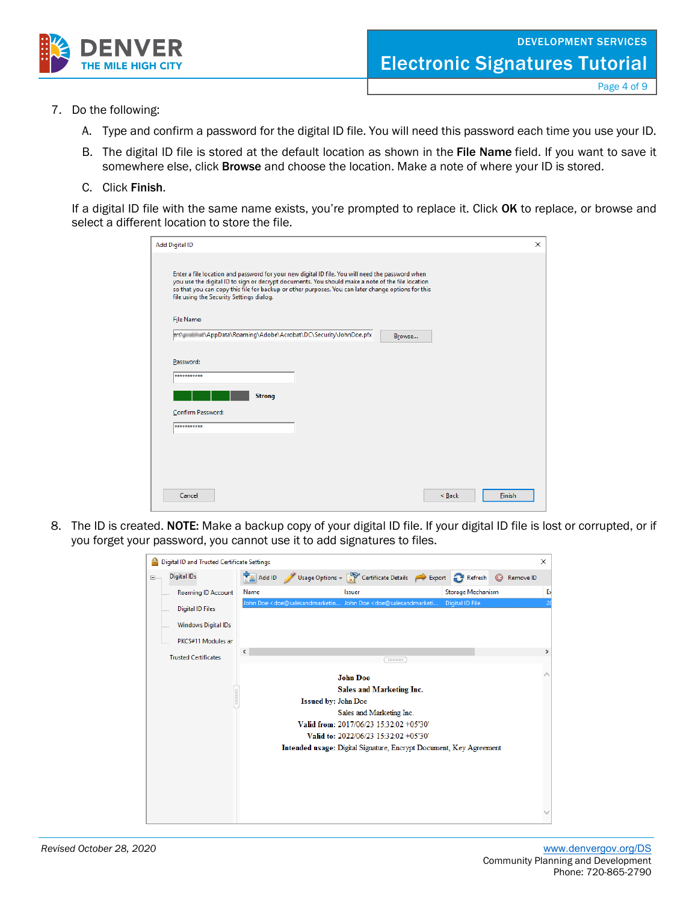

Page 4 of 9

- 7. Do the following:
	- A. Type and confirm a password for the digital ID file. You will need this password each time you use your ID.
	- B. The digital ID file is stored at the default location as shown in the File Name field. If you want to save it somewhere else, click **Browse** and choose the location. Make a note of where your ID is stored.
	- C. Click Finish.

If a digital ID file with the same name exists, you're prompted to replace it. Click OK to replace, or browse and select a different location to store the file.

| <b>Add Digital ID</b>                                                                                                                                                                                                                                                                                                                                  |        |        | X      |
|--------------------------------------------------------------------------------------------------------------------------------------------------------------------------------------------------------------------------------------------------------------------------------------------------------------------------------------------------------|--------|--------|--------|
| Enter a file location and password for your new digital ID file. You will need the password when<br>you use the digital ID to sign or decrypt documents. You should make a note of the file location<br>so that you can copy this file for backup or other purposes. You can later change options for this<br>file using the Security Settings dialog. |        |        |        |
| File Name:                                                                                                                                                                                                                                                                                                                                             |        |        |        |
|                                                                                                                                                                                                                                                                                                                                                        | Browse |        |        |
| Password:                                                                                                                                                                                                                                                                                                                                              |        |        |        |
| ***********                                                                                                                                                                                                                                                                                                                                            |        |        |        |
| <b>Strong</b>                                                                                                                                                                                                                                                                                                                                          |        |        |        |
| Confirm Password:                                                                                                                                                                                                                                                                                                                                      |        |        |        |
| ***********                                                                                                                                                                                                                                                                                                                                            |        |        |        |
|                                                                                                                                                                                                                                                                                                                                                        |        |        |        |
|                                                                                                                                                                                                                                                                                                                                                        |        |        |        |
|                                                                                                                                                                                                                                                                                                                                                        |        |        |        |
| Cancel                                                                                                                                                                                                                                                                                                                                                 |        | < Back | Finish |

8. The ID is created. NOTE: Make a backup copy of your digital ID file. If your digital ID file is lost or corrupted, or if you forget your password, you cannot use it to add signatures to files.

|        | Digital ID and Trusted Certificate Settings |                      |                            |                                                                                         |                   |         |           | $\times$       |
|--------|---------------------------------------------|----------------------|----------------------------|-----------------------------------------------------------------------------------------|-------------------|---------|-----------|----------------|
| $\Box$ | <b>Digital IDs</b>                          | $\frac{1}{2}$ Add ID |                            | Usage Options $\sqrt{2}$ Certificate Details $\rightarrow$ Export $\rightarrow$ Refresh |                   | $\odot$ | Remove ID |                |
|        | <b>Roaming ID Account</b>                   | Name                 |                            | <b>Issuer</b>                                                                           | Storage Mechanism |         |           | Б              |
|        | <b>Digital ID Files</b>                     |                      |                            | John Doe < doe@salesandmarketin John Doe < doe@salesandmarketi                          | Digital ID File   |         |           | $\overline{2}$ |
|        | <b>Windows Digital IDs</b>                  |                      |                            |                                                                                         |                   |         |           |                |
|        | PKCS#11 Modules an                          |                      |                            |                                                                                         |                   |         |           |                |
|        | <b>Trusted Certificates</b>                 | $\leq$               |                            | mmm                                                                                     |                   |         |           | $\rightarrow$  |
|        |                                             |                      |                            |                                                                                         |                   |         |           |                |
|        |                                             |                      |                            | <b>John Doe</b>                                                                         |                   |         |           |                |
|        |                                             |                      |                            | Sales and Marketing Inc.                                                                |                   |         |           |                |
|        |                                             |                      | <b>Issued by: John Doe</b> |                                                                                         |                   |         |           |                |
|        |                                             |                      |                            | Sales and Marketing Inc.                                                                |                   |         |           |                |
|        |                                             |                      |                            | Valid from: 2017/06/23 15:32:02 +05'30'                                                 |                   |         |           |                |
|        |                                             |                      |                            | Valid to: 2022/06/23 15:32:02 +05'30'                                                   |                   |         |           |                |
|        |                                             |                      |                            | Intended usage: Digital Signature, Encrypt Document, Key Agreement                      |                   |         |           |                |
|        |                                             |                      |                            |                                                                                         |                   |         |           |                |
|        |                                             |                      |                            |                                                                                         |                   |         |           |                |
|        |                                             |                      |                            |                                                                                         |                   |         |           |                |
|        |                                             |                      |                            |                                                                                         |                   |         |           |                |
|        |                                             |                      |                            |                                                                                         |                   |         |           |                |
|        |                                             |                      |                            |                                                                                         |                   |         |           |                |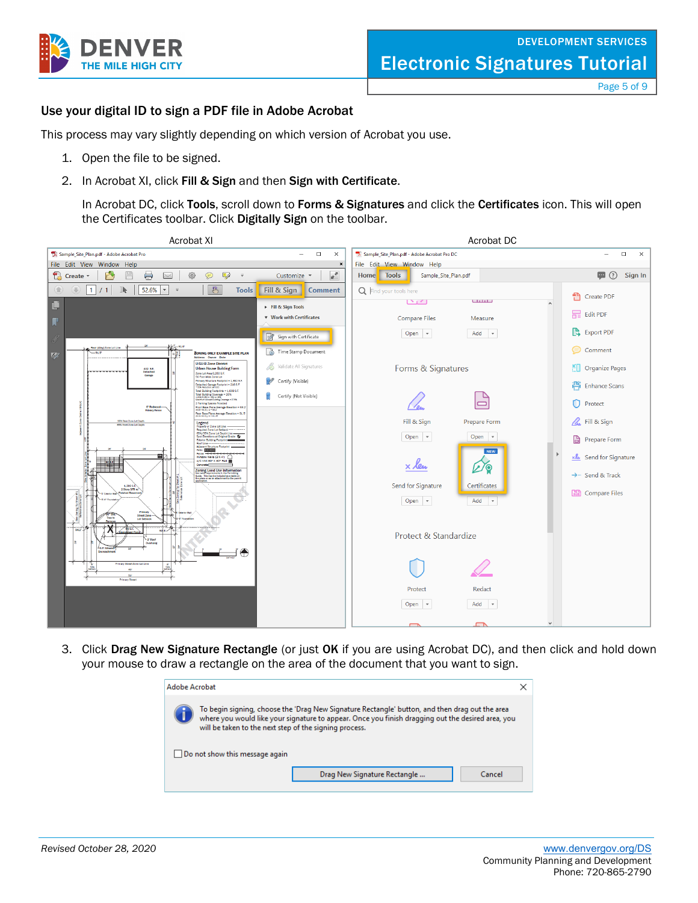

Page 5 of 9

## Use your digital ID to sign a PDF file in Adobe Acrobat

This process may vary slightly depending on which version of Acrobat you use.

- 1. Open the file to be signed.
- 2. In Acrobat XI, click Fill & Sign and then Sign with Certificate.

In Acrobat DC, click Tools, scroll down to Forms & Signatures and click the Certificates icon. This will open the Certificates toolbar. Click Digitally Sign on the toolbar.



3. Click Drag New Signature Rectangle (or just OK if you are using Acrobat DC), and then click and hold down your mouse to draw a rectangle on the area of the document that you want to sign.

| Adobe Acrobat                                                                                                                                                                                                                                                 |  |
|---------------------------------------------------------------------------------------------------------------------------------------------------------------------------------------------------------------------------------------------------------------|--|
| To begin signing, choose the 'Drag New Signature Rectangle' button, and then drag out the area<br>where you would like your signature to appear. Once you finish dragging out the desired area, you<br>will be taken to the next step of the signing process. |  |
| Do not show this message again                                                                                                                                                                                                                                |  |
| Drag New Signature Rectangle<br>Cancel                                                                                                                                                                                                                        |  |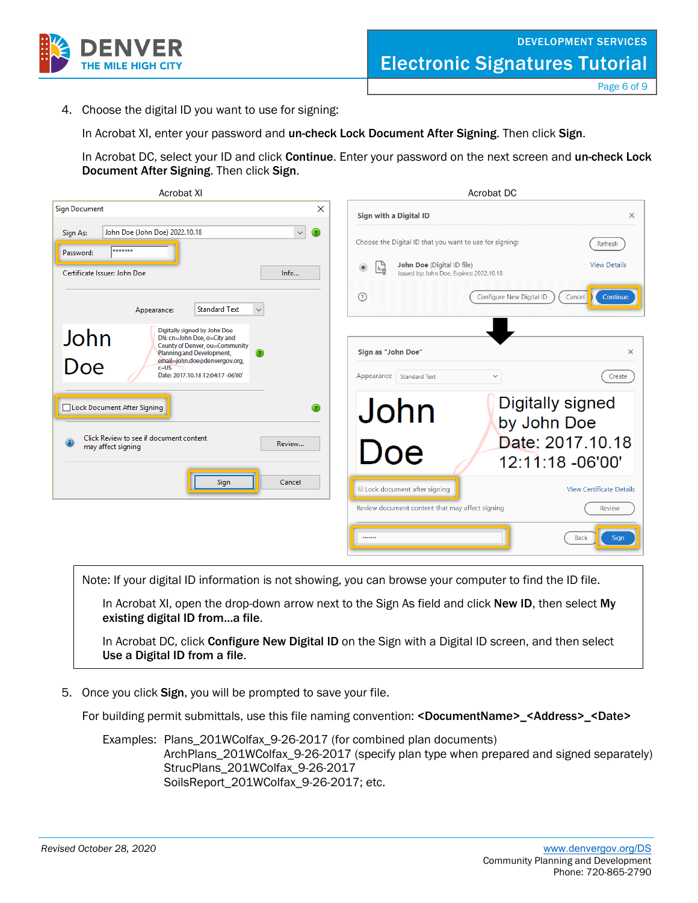

4. Choose the digital ID you want to use for signing:

In Acrobat XI, enter your password and un-check Lock Document After Signing. Then click Sign.

In Acrobat DC, select your ID and click Continue. Enter your password on the next screen and un-check Lock Document After Signing. Then click Sign.

| <b>Acrobat XI</b>                                                                                                                                                                                                           | Acrobat DC                                                                            |                                                  |
|-----------------------------------------------------------------------------------------------------------------------------------------------------------------------------------------------------------------------------|---------------------------------------------------------------------------------------|--------------------------------------------------|
| <b>Sign Document</b><br>$\times$                                                                                                                                                                                            | Sign with a Digital ID                                                                | $\times$                                         |
| ∩<br>John Doe (John Doe) 2022.10.18<br>$\checkmark$<br>Sign As:<br>*******<br>Password:                                                                                                                                     | Choose the Digital ID that you want to use for signing:<br>John Doe (Digital ID file) | Refresh<br><b>View Details</b>                   |
| Certificate Issuer: John Doe<br>Info                                                                                                                                                                                        | $^{\circ}$<br>Le<br>Issued by: John Doe, Expires: 2022.10.18                          |                                                  |
| <b>Standard Text</b><br>Appearance:<br>$\checkmark$                                                                                                                                                                         | $\odot$<br><b>Configure New Digital ID</b>                                            | Continue<br>Cancel                               |
| Digitally signed by John Doe<br>John<br>DN: cn=John Doe, o=City and<br>County of Denver, ou=Community<br>Planning and Development,<br>Doe<br>email=john.doe@denvergov.org,<br>$c = US$<br>Date: 2017.10.18 12:04:17 -06'00' | Sign as "John Doe"<br>Appearance<br><b>Standard Text</b><br>$\checkmark$              | $\times$<br>Create                               |
| Lock Document After Signing<br>Click Review to see if document content<br>Review<br>may affect signing                                                                                                                      | <b>Digitally signed</b><br>John<br>by John Doe<br>Doe<br>12:11:18 -06'00'             | Date: 2017.10.18                                 |
| Sign<br>Cancel                                                                                                                                                                                                              | Lock document after signing<br>Review document content that may affect signing        | <b>View Certificate Details</b><br><b>Review</b> |
|                                                                                                                                                                                                                             |                                                                                       | <b>Back</b><br>Sign                              |

Note: If your digital ID information is not showing, you can browse your computer to find the ID file.

In Acrobat XI, open the drop-down arrow next to the Sign As field and click New ID, then select My existing digital ID from…a file.

In Acrobat DC, click Configure New Digital ID on the Sign with a Digital ID screen, and then select Use a Digital ID from a file.

5. Once you click Sign, you will be prompted to save your file.

For building permit submittals, use this file naming convention: <DocumentName>\_<Address>\_<Date>

Examples: Plans\_201WColfax\_9-26-2017 (for combined plan documents) ArchPlans 201WColfax 9-26-2017 (specify plan type when prepared and signed separately) StrucPlans\_201WColfax\_9-26-2017 SoilsReport\_201WColfax\_9-26-2017; etc.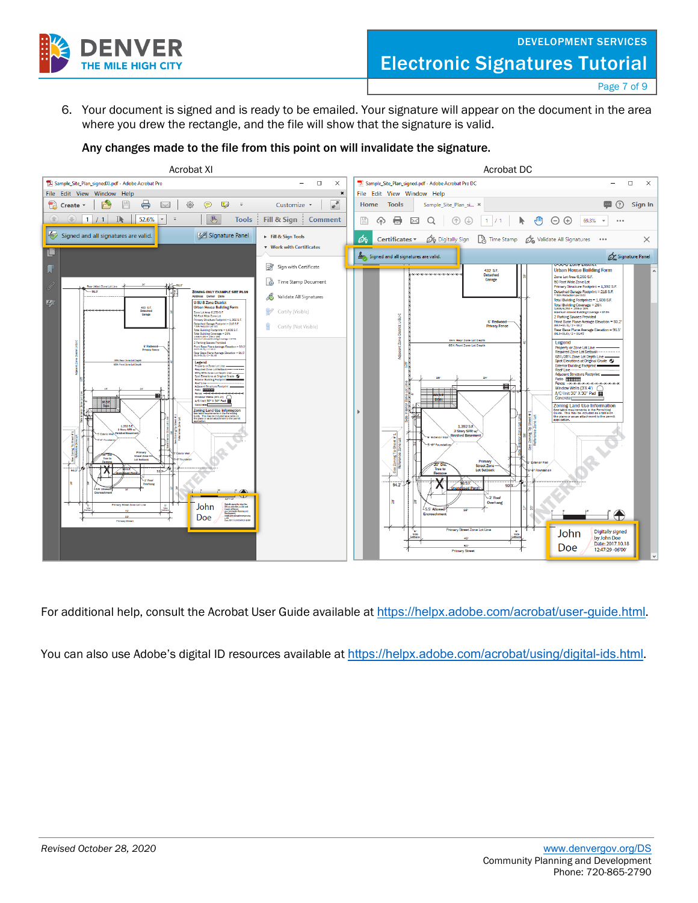

Page 7 of 9

6. Your document is signed and is ready to be emailed. Your signature will appear on the document in the area where you drew the rectangle, and the file will show that the signature is valid.

## Any changes made to the file from this point on will invalidate the signature.



For additional help, consult the Acrobat User Guide available at <https://helpx.adobe.com/acrobat/user-guide.html>.

You can also use Adobe's digital ID resources available at <https://helpx.adobe.com/acrobat/using/digital-ids.html>.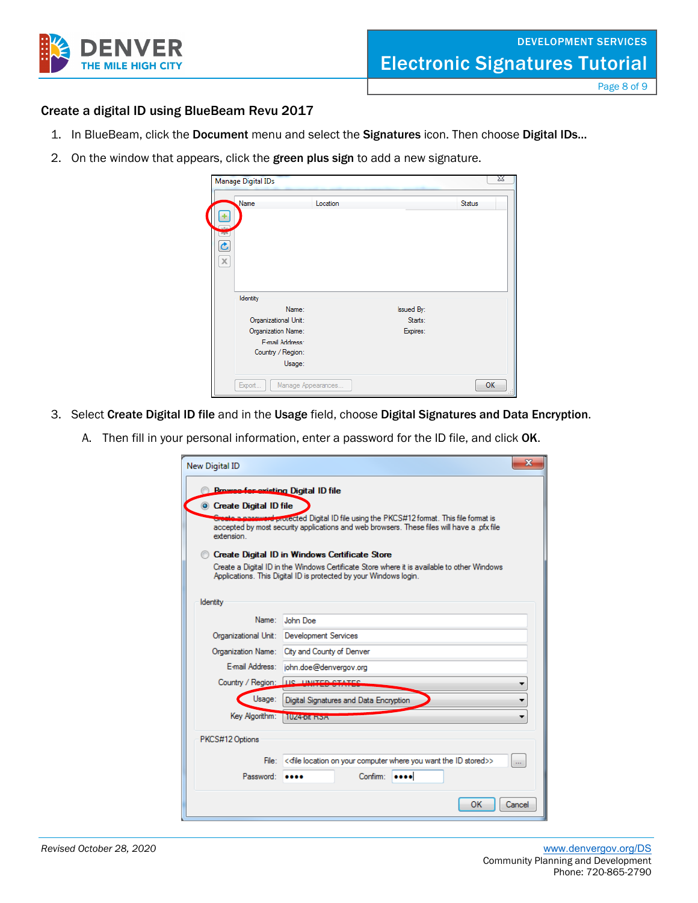

Page 8 of 9

# Create a digital ID using BlueBeam Revu 2017

- 1. In BlueBeam, click the Document menu and select the Signatures icon. Then choose Digital IDs...
- 2. On the window that appears, click the green plus sign to add a new signature.

| Name<br>٠                                   | Location        |                   | <b>Status</b> |
|---------------------------------------------|-----------------|-------------------|---------------|
| $\tau_{\rm T}$<br>$\tilde{\mathbf{C}}$<br>X |                 |                   |               |
| Identity                                    |                 |                   |               |
|                                             | Name:           | <b>Issued By:</b> |               |
| Organizational Unit:                        |                 | Starts:           |               |
| Organization Name:                          |                 | Expires:          |               |
|                                             | F-mail Address: |                   |               |
|                                             |                 |                   |               |
| Country / Region:                           |                 |                   |               |

- 3. Select Create Digital ID file and in the Usage field, choose Digital Signatures and Data Encryption.
	- A. Then fill in your personal information, enter a password for the ID file, and click OK.

| <b>New Digital ID</b>                      |                                                                                                                                                                          | X                          |
|--------------------------------------------|--------------------------------------------------------------------------------------------------------------------------------------------------------------------------|----------------------------|
| <b>Browse-for-existing Digital ID file</b> |                                                                                                                                                                          |                            |
| Create Digital ID file                     |                                                                                                                                                                          |                            |
|                                            | re protected Digital ID file using the PKCS#12 format. This file format is<br>accepted by most security applications and web browsers. These files will have a .pfx file |                            |
| extension                                  |                                                                                                                                                                          |                            |
|                                            | Create Digital ID in Windows Certificate Store                                                                                                                           |                            |
|                                            | Create a Digital ID in the Windows Certificate Store where it is available to other Windows<br>Applications. This Digital ID is protected by your Windows login.         |                            |
|                                            |                                                                                                                                                                          |                            |
| Identity                                   |                                                                                                                                                                          |                            |
| Name:                                      | John Doe                                                                                                                                                                 |                            |
| Organizational Unit:                       | <b>Development Services</b>                                                                                                                                              |                            |
|                                            |                                                                                                                                                                          |                            |
| Organization Name:                         | City and County of Denver                                                                                                                                                |                            |
| E-mail Address:                            | john.doe@denvergov.org                                                                                                                                                   |                            |
| Country / Region:                          | <b>HC</b> HAUTED CTATES                                                                                                                                                  |                            |
| Usage:                                     | Digital Signatures and Data Encryption                                                                                                                                   |                            |
| Key Algorithm:                             | <b>MINZABORO ENSTAT</b>                                                                                                                                                  |                            |
| PKCS#12 Options                            |                                                                                                                                                                          |                            |
|                                            |                                                                                                                                                                          |                            |
| File:                                      | << file location on your computer where you want the ID stored>>                                                                                                         | $\mathcal{L}_{\text{max}}$ |
| Password:                                  | Confirm:<br>                                                                                                                                                             |                            |
|                                            | OK                                                                                                                                                                       | Cancel                     |